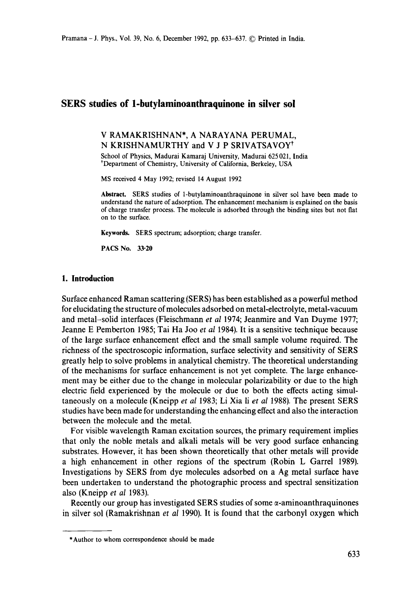## **SERS studies of l-butylaminoanthraquinone in silver sol**

### V RAMAKRISHNAN\*, A NARAYANA PERUMAL, N KRISHNAMURTHY and V J P SRIVATSAVOY<sup>†</sup>

School of Physics, Madurai Kamaraj University, Madurai 625 021, India \*Department of Chemistry, University of California, Berkeley, USA

MS received 4 May 1992; revised 14 August 1992

**Abstract.** SERS studies of 1-butylaminoanthraquinone in silver sol have been made to understand the nature of adsorption. The enhancement mechanism is explained on the basis of charge transfer process. The molecule is adsorbed through the binding sites but not fiat on to the surface.

**Keywords.** SERS spectrum; adsorption; charge transfer.

**PACS No.** 33.20

#### **1. Introduction**

Surface enhanced Raman scattering (SERS) has been established as a powerful method for elucidating the structure of molecules adsorbed on metal-electrolyte, metal-vacuum and metal-solid interfaces (Fleischmann *et al* 1974; Jeanmire and Van Duyme 1977; Jeanne E Pemberton 1985; Tai Ha Joo *et al* 1984). It is a sensitive technique because of the large surface enhancement effect and the small sample volume required. The richness of the spectroscopic information, surface selectivity and sensitivity of SERS greatly help to solve problems in analytical chemistry. The theoretical understanding of the mechanisms for surface enhancement is not yet complete. The large enhancement may be either due to the change in molecular polarizability or due to the high electric field experienced by the molecule or due to both the effects acting simultaneously on a molecule (Kneipp *et al* 1983; Li Xia li *et al* 1988). The present SERS studies have been made for understanding the enhancing effect and also the interaction between the molecule and the metal.

For visible wavelength Raman excitation sources, the primary requirement implies that only the noble metals and alkali metals will be very good surface enhancing substrates. However, it has been shown theoretically that other metals will provide a high enhancement in other regions of the spectrum (Robin L Garrel 1989). Investigations by SERS from dye molecules adsorbed on a Ag metal surface have been undertaken to understand the photographic process and spectral sensitization also (Kneipp *et al* 1983).

Recently our group has investigated SERS studies of some  $\alpha$ -aminoanthraquinones in silver sol (Ramakrishnan *et al* 1990). It is found that the carbonyl oxygen which

<sup>\*</sup> Author to whom correspondence should be made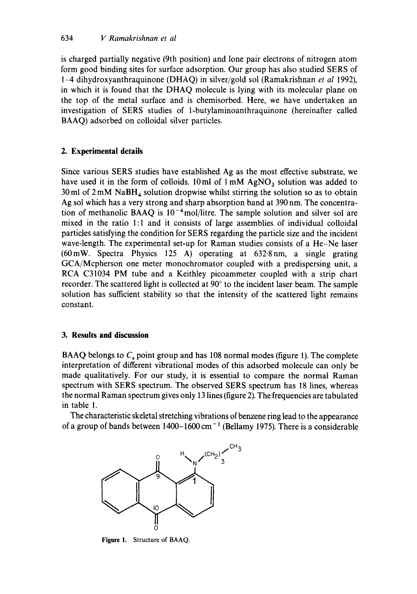is charged partially negative (9th position) and lone pair electrons of nitrogen atom form good binding sites for surface adsorption. Our group has also studied SERS of 1-4 dihydroxyanthraquinone (DHAQ) in silver/gold sol (Ramakrishnan *et al* 1992), in which it is found that the DHAQ molecule is lying with its molecular plane on the top of the metal surface and is chemisorbed. Here, we have undertaken an investigation of SERS studies of 1-butylaminoanthraquinone (hereinafter called BAAQ) adsorbed on colloidal silver particles.

# **2. Experimental details**

Since various SERS studies have established Ag as the most effective substrate, we have used it in the form of colloids. 10ml of  $1 \text{ mM } AgNO<sub>3</sub>$  solution was added to 30 ml of  $2 \text{ mM } \text{ NaBH}_4$  solution dropwise whilst stirring the solution so as to obtain Ag sol which has a very strong and sharp absorption band at 390 nm. The concentration of methanolic BAAQ is  $10^{-4}$ mol/litre. The sample solution and silver sol are mixed in the ratio l:l and it consists of large assemblies of individual colloidal particles satisfying the condition for SERS regarding the particle size and the incident wave-length. The experimental set-up for Raman studies consists of a He-Ne laser (60mW. Spectra Physics 125 A) operating at 632.8nm, a single grating GCA/Mcpherson one meter monochromator coupled with a predispersing unit, a RCA C31034 PM tube and a Keithley picoammeter coupled with a strip chart recorder. The scattered light is collected at  $90^\circ$  to the incident laser beam. The sample solution has sufficient stability so that the intensity of the scattered light remains constant.

## **3. Results and discussion**

BAAQ belongs to  $C_s$  point group and has 108 normal modes (figure 1). The complete interpretation of different vibrational modes of this adsorbed molecule can only be made qualitatively. For our study, it is essential to compare the normal Raman spectrum with SERS spectrum. The observed SERS spectrum has 18 lines, whereas the normal Raman spectrum gives only 13 lines (figure 2). The frequencies are tabulated in table 1.

The characteristic skeletal stretching vibrations of benzene ring lead to the appearance of a group of bands between  $1400-1600$  cm<sup>-1</sup> (Bellamy 1975). There is a considerable



**Figure** 1. Structure of BAAQ.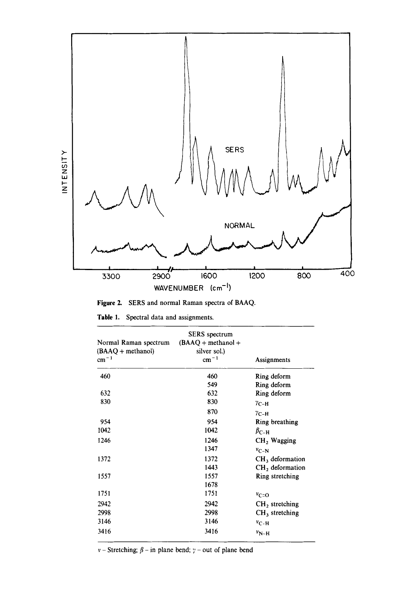

**Figure 2.**  SERS and normal Raman spectra of BAAQ.

| Table 1. |  |  |  |  |  | Spectral data and assignments. |
|----------|--|--|--|--|--|--------------------------------|
|----------|--|--|--|--|--|--------------------------------|

| Normal Raman spectrum<br>$(BAAQ + methanol)$<br>$cm^{-1}$ | <b>SERS</b> spectrum<br>$(BAAQ + \text{methanol} +$<br>silver sol.)<br>$cm^{-1}$ | Assignments            |
|-----------------------------------------------------------|----------------------------------------------------------------------------------|------------------------|
| 460                                                       | 460                                                                              | Ring deform            |
|                                                           | 549                                                                              | Ring deform            |
| 632                                                       | 632                                                                              | Ring deform            |
| 830                                                       | 830                                                                              | $\gamma_{\rm C-H}$     |
|                                                           | 870                                                                              | $\gamma_{\rm C-H}$     |
| 954                                                       | 954                                                                              | Ring breathing         |
| 1042                                                      | 1042                                                                             | $\beta_{\textrm{C-H}}$ |
| 1246                                                      | 1246                                                                             | $CH2$ Wagging          |
|                                                           | 1347                                                                             | $v_{C-N}$              |
| 1372                                                      | 1372                                                                             | $CH3$ deformation      |
|                                                           | 1443                                                                             | $CH2$ deformation      |
| 1557                                                      | 1557                                                                             | Ring stretching        |
|                                                           | 1678                                                                             |                        |
| 1751                                                      | 1751                                                                             | $v_{C=O}$              |
| 2942                                                      | 2942                                                                             | $CH2$ stretching       |
| 2998                                                      | 2998                                                                             | $CH3$ stretching       |
| 3146                                                      | 3146                                                                             | $v_{C-H}$              |
| 3416                                                      | 3416                                                                             | $v_{N-H}$              |

 $v$  – Stretching;  $\beta$  – in plane bend;  $\gamma$  – out of plane bend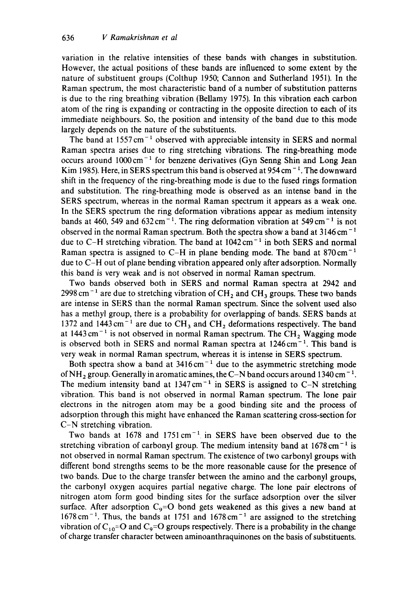variation in the relative intensities of these bands with changes in substitution. However, the actual positions of these bands are influenced to some extent by the nature of substituent groups (Colthup 1950; Cannon and Sutherland 1951). In the Raman spectrum, the most characteristic band of a number of substitution patterns is due to the ring breathing vibration (Bellamy 1975). In this vibration each carbon atom of the ring is expanding or contracting in the opposite direction to each of its immediate neighbours. So, the position and intensity of the band due to this mode largely depends on the nature of the substituents.

The band at  $1557 \text{ cm}^{-1}$  observed with appreciable intensity in SERS and normal Raman spectra arises due to ring stretching vibrations. The ring-breathing mode occurs around  $1000 \text{ cm}^{-1}$  for benzene derivatives (Gyn Senng Shin and Long Jean Kim 1985). Here, in SERS spectrum this band is observed at  $954 \text{ cm}^{-1}$ . The downward shift in the frequency of the ring-breathing mode is due to the fused rings formation and substitution. The ring-breathing mode is observed as an intense band in the SERS spectrum, whereas in the normal Raman spectrum it appears as a weak one. In the SERS spectrum the ring deformation vibrations appear as medium intensity bands at 460, 549 and  $632 \text{ cm}^{-1}$ . The ring deformation vibration at 549 cm<sup>-1</sup> is not observed in the normal Raman spectrum. Both the spectra show a band at  $3146 \text{ cm}^{-1}$ due to C-H stretching vibration. The band at  $1042 \text{ cm}^{-1}$  in both SERS and normal Raman spectra is assigned to C-H in plane bending mode. The band at  $870 \text{ cm}^{-1}$ due to C-H out of plane bending vibration appeared only after adsorption. Normally this band is very weak and is not observed in normal Raman spectrum.

Two bands observed both in SERS and normal Raman spectra at 2942 and 2998 cm<sup>-1</sup> are due to stretching vibration of  $CH_2$  and  $CH_3$  groups. These two bands are intense in SERS than the normal Raman spectrum. Since the solvent used also has a methyl group, there is a probability for overlapping of bands. SERS bands at 1372 and 1443 cm<sup>-1</sup> are due to CH<sub>3</sub> and CH<sub>2</sub> deformations respectively. The band at  $1443 \text{ cm}^{-1}$  is not observed in normal Raman spectrum. The CH<sub>2</sub> Wagging mode is observed both in SERS and normal Raman spectra at  $1246 \text{ cm}^{-1}$ . This band is very weak in normal Raman spectrum, whereas it is intense in SERS spectrum.

Both spectra show a band at  $3416 \text{ cm}^{-1}$  due to the asymmetric stretching mode of NH<sub>2</sub> group. Generally in aromatic amines, the C-N band occurs around 1340 cm<sup>-1</sup>. The medium intensity band at  $1347 \text{ cm}^{-1}$  in SERS is assigned to C-N stretching vibration. This band is not observed in normal Raman spectrum. The lone pair electrons in the nitrogen atom may be a good binding site and the process of adsorption through this might have enhanced the Raman scattering cross-section for C-N stretching vibration.

Two bands at  $1678$  and  $1751 \text{ cm}^{-1}$  in SERS have been observed due to the stretching vibration of carbonyl group. The medium intensity band at  $1678 \text{ cm}^{-1}$  is not observed in normal Raman spectrum. The existence of two carbonyl groups with different bond strengths seems to be the more reasonable cause for the presence of two bands. Due to the charge transfer between the amino and the carbonyl groups, the carbonyi oxygen acquires partial negative charge. The lone pair electrons of nitrogen atom form good binding sites for the surface adsorption over the silver surface. After adsorption  $C_9=O$  bond gets weakened as this gives a new band at  $1678 \text{ cm}^{-1}$ . Thus, the bands at 1751 and  $1678 \text{ cm}^{-1}$  are assigned to the stretching vibration of  $C_{10}=O$  and  $C_9=O$  groups respectively. There is a probability in the change of charge transfer character between aminoanthraquinones on the basis of substituents.